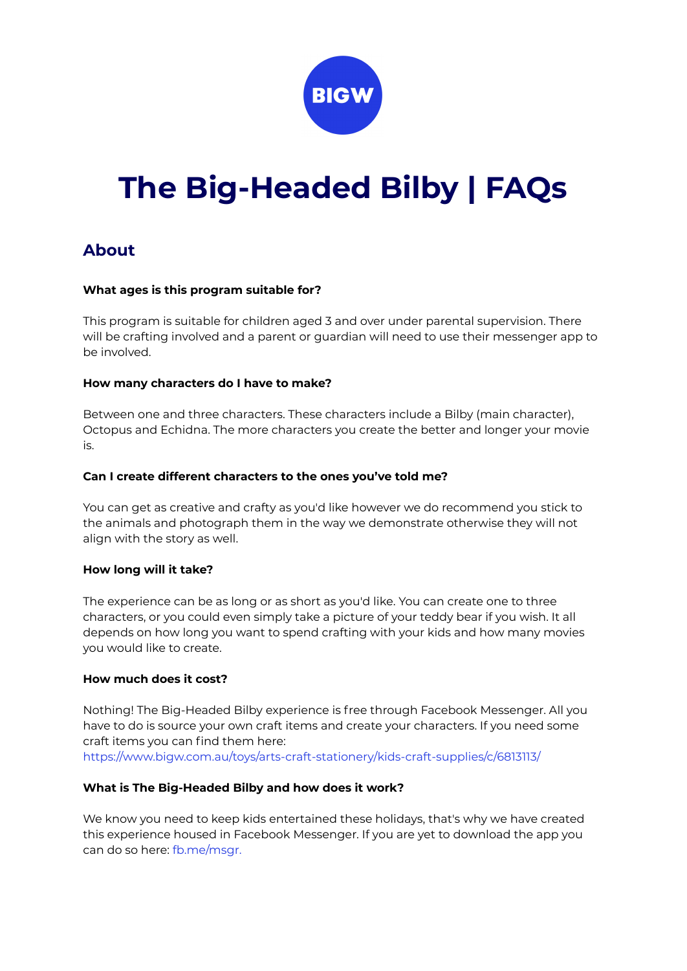

# **The Big-Headed Bilby | FAQs**

# **About**

### **What ages is this program suitable for?**

This program is suitable for children aged 3 and over under parental supervision. There will be crafting involved and a parent or guardian will need to use their messenger app to be involved.

### **How many characters do I have to make?**

Between one and three characters. These characters include a Bilby (main character), Octopus and Echidna. The more characters you create the better and longer your movie is.

#### **Can I create different characters to the ones you've told me?**

You can get as creative and crafty as you'd like however we do recommend you stick to the animals and photograph them in the way we demonstrate otherwise they will not align with the story as well.

# **How long will it take?**

The experience can be as long or as short as you'd like. You can create one to three characters, or you could even simply take a picture of your teddy bear if you wish. It all depends on how long you want to spend crafting with your kids and how many movies you would like to create.

#### **How much does it cost?**

Nothing! The Big-Headed Bilby experience is free through Facebook Messenger. All you have to do is source your own craft items and create your characters. If you need some craft items you can find them here:

https://www.bigw.com.au/toys/arts-craft-stationery/kids-craft-supplies/c/6813113/

# **What is The Big-Headed Bilby and how does it work?**

We know you need to keep kids entertained these holidays, that's why we have created this experience housed in Facebook Messenger. If you are yet to download the app you can do so here: fb.me/msgr.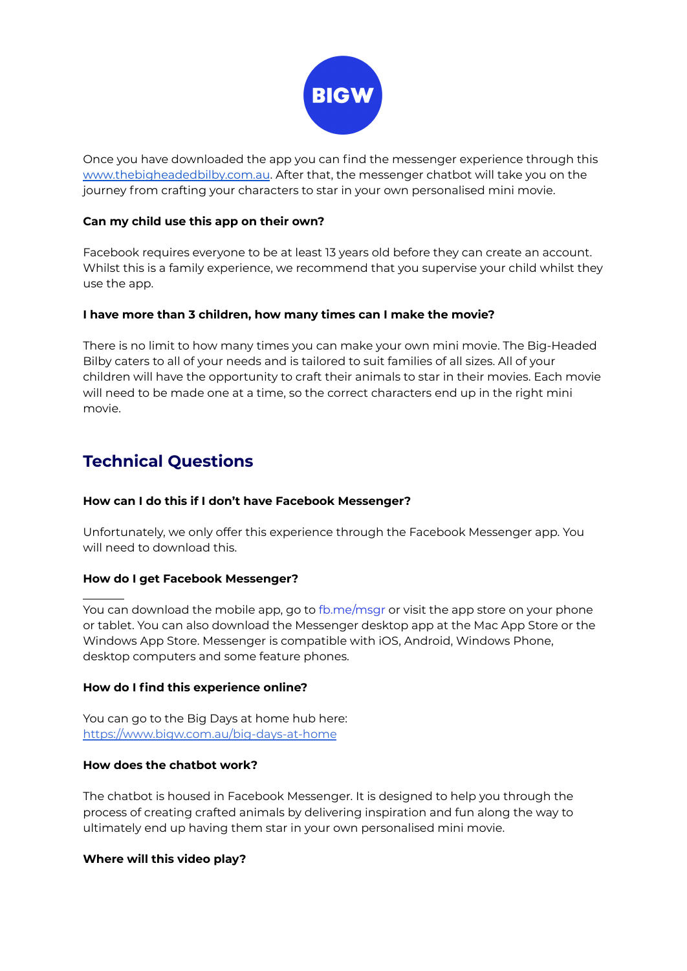

Once you have downloaded the app you can find the messenger experience through this [www.thebigheadedbilby.com.au](http://www.thebigheadedbilby.com.au). After that, the messenger chatbot will take you on the journey from crafting your characters to star in your own personalised mini movie.

# **Can my child use this app on their own?**

Facebook requires everyone to be at least 13 years old before they can create an account. Whilst this is a family experience, we recommend that you supervise your child whilst they use the app.

# **I have more than 3 children, how many times can I make the movie?**

There is no limit to how many times you can make your own mini movie. The Big-Headed Bilby caters to all of your needs and is tailored to suit families of all sizes. All of your children will have the opportunity to craft their animals to star in their movies. Each movie will need to be made one at a time, so the correct characters end up in the right mini movie.

# **Technical Questions**

# **How can I do this if I don't have Facebook Messenger?**

Unfortunately, we only offer this experience through the Facebook Messenger app. You will need to download this.

# **How do I get Facebook Messenger?**

You can download the mobile app, go to fb.me/msgr or visit the app store on your phone or tablet. You can also download the Messenger desktop app at the Mac App Store or the Windows App Store. Messenger is compatible with iOS, Android, Windows Phone, desktop computers and some feature phones.

# **How do I find this experience online?**

You can go to the Big Days at home hub here: <https://www.bigw.com.au/big-days-at-home>

# **How does the chatbot work?**

The chatbot is housed in Facebook Messenger. It is designed to help you through the process of creating crafted animals by delivering inspiration and fun along the way to ultimately end up having them star in your own personalised mini movie.

# **Where will this video play?**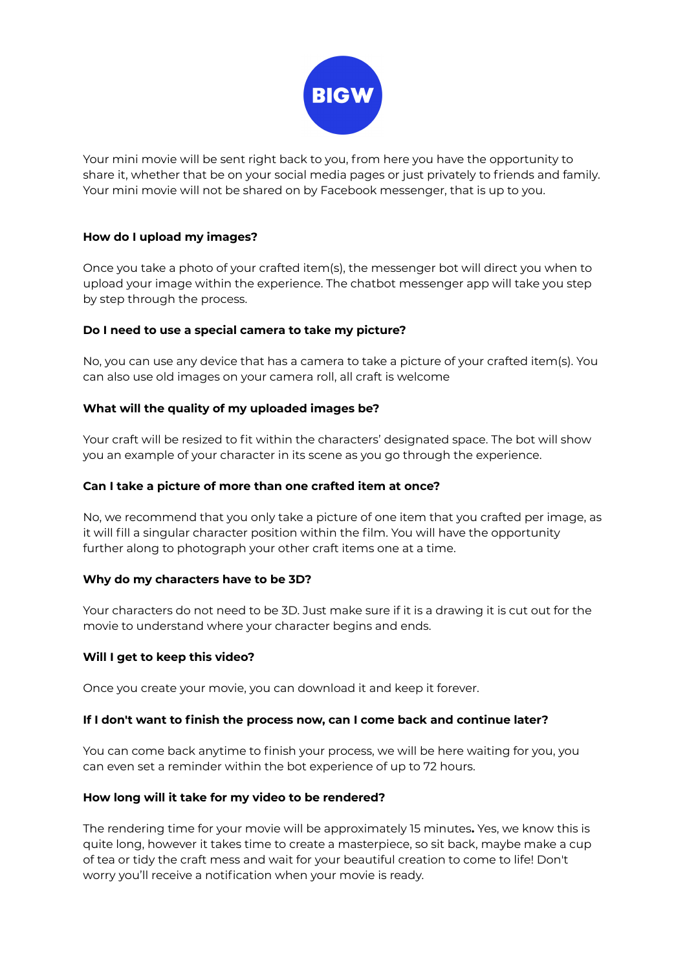

Your mini movie will be sent right back to you, from here you have the opportunity to share it, whether that be on your social media pages or just privately to friends and family. Your mini movie will not be shared on by Facebook messenger, that is up to you.

# **How do I upload my images?**

Once you take a photo of your crafted item(s), the messenger bot will direct you when to upload your image within the experience. The chatbot messenger app will take you step by step through the process.

# **Do I need to use a special camera to take my picture?**

No, you can use any device that has a camera to take a picture of your crafted item(s). You can also use old images on your camera roll, all craft is welcome

# **What will the quality of my uploaded images be?**

Your craft will be resized to fit within the characters' designated space. The bot will show you an example of your character in its scene as you go through the experience.

#### **Can I take a picture of more than one crafted item at once?**

No, we recommend that you only take a picture of one item that you crafted per image, as it will fill a singular character position within the film. You will have the opportunity further along to photograph your other craft items one at a time.

#### **Why do my characters have to be 3D?**

Your characters do not need to be 3D. Just make sure if it is a drawing it is cut out for the movie to understand where your character begins and ends.

#### **Will I get to keep this video?**

Once you create your movie, you can download it and keep it forever.

#### **If I don't want to finish the process now, can I come back and continue later?**

You can come back anytime to finish your process, we will be here waiting for you, you can even set a reminder within the bot experience of up to 72 hours.

#### **How long will it take for my video to be rendered?**

The rendering time for your movie will be approximately 15 minutes**.** Yes, we know this is quite long, however it takes time to create a masterpiece, so sit back, maybe make a cup of tea or tidy the craft mess and wait for your beautiful creation to come to life! Don't worry you'll receive a notification when your movie is ready.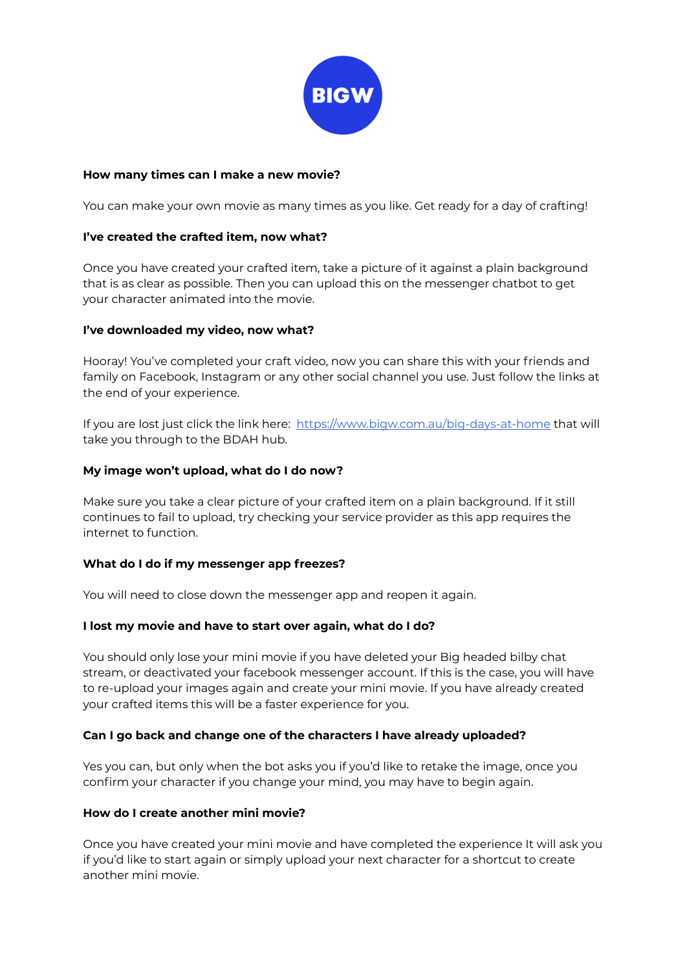

## **How many times can I make a new movie?**

You can make your own movie as many times as you like. Get ready for a day of crafting!

## **I've created the crafted item, now what?**

Once you have created your crafted item, take a picture of it against a plain background that is as clear as possible. Then you can upload this on the messenger chatbot to get your character animated into the movie.

### **I've downloaded my video, now what?**

Hooray! You've completed your craft video, now you can share this with your friends and family on Facebook, Instagram or any other social channel you use. Just follow the links at the end of your experience.

If you are lost just click the link here: <https://www.bigw.com.au/big-days-at-home> that will take you through to the BDAH hub.

### **My image won't upload, what do I do now?**

Make sure you take a clear picture of your crafted item on a plain background. If it still continues to fail to upload, try checking your service provider as this app requires the internet to function.

#### **What do I do if my messenger app freezes?**

You will need to close down the messenger app and reopen it again.

# **I lost my movie and have to start over again, what do I do?**

You should only lose your mini movie if you have deleted your Big headed bilby chat stream, or deactivated your facebook messenger account. If this is the case, you will have to re-upload your images again and create your mini movie. If you have already created your crafted items this will be a faster experience for you.

#### **Can I go back and change one of the characters I have already uploaded?**

Yes you can, but only when the bot asks you if you'd like to retake the image, once you confirm your character if you change your mind, you may have to begin again.

#### **How do I create another mini movie?**

Once you have created your mini movie and have completed the experience It will ask you if you'd like to start again or simply upload your next character for a shortcut to create another mini movie.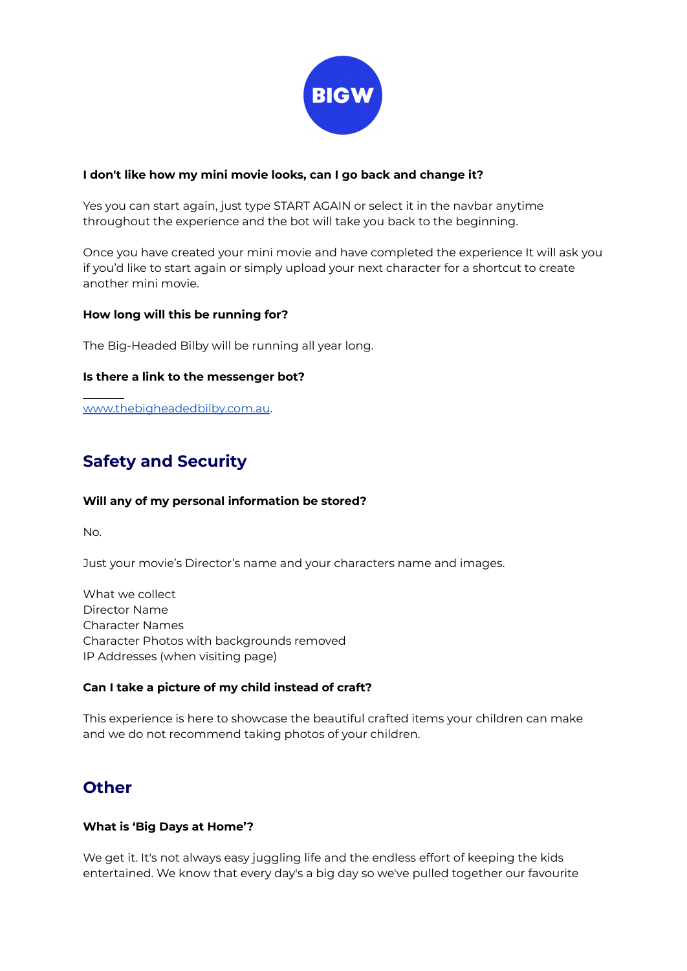

# **I don't like how my mini movie looks, can I go back and change it?**

Yes you can start again, just type START AGAIN or select it in the navbar anytime throughout the experience and the bot will take you back to the beginning.

Once you have created your mini movie and have completed the experience It will ask you if you'd like to start again or simply upload your next character for a shortcut to create another mini movie.

# **How long will this be running for?**

The Big-Headed Bilby will be running all year long.

# **Is there a link to the messenger bot?**

[www.thebigheadedbilby.com.au](http://www.thebigheadedbilby.com.au).

# **Safety and Security**

# **Will any of my personal information be stored?**

No.

Just your movie's Director's name and your characters name and images.

What we collect Director Name Character Names Character Photos with backgrounds removed IP Addresses (when visiting page)

# **Can I take a picture of my child instead of craft?**

This experience is here to showcase the beautiful crafted items your children can make and we do not recommend taking photos of your children.

# **Other**

# **What is 'Big Days at Home'?**

We get it. It's not always easy juggling life and the endless effort of keeping the kids entertained. We know that every day's a big day so we've pulled together our favourite